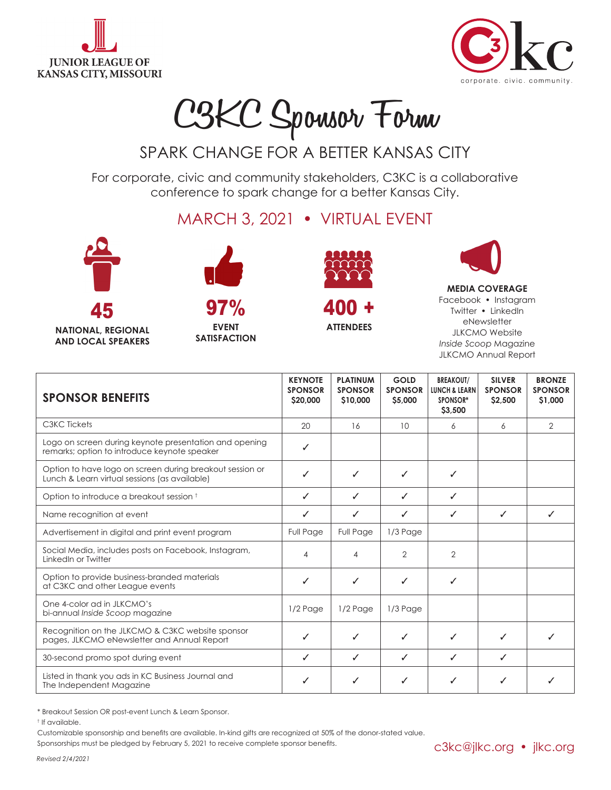



## **C3KC Sponsor Form**

## SPARK CHANGE FOR A BETTER KANSAS CITY

For corporate, civic and community stakeholders, C3KC is a collaborative conference to spark change for a better Kansas City.

MARCH 3, 2021 • VIRTUAL EVENT





**NATIONAL, REGIONAL AND LOCAL SPEAKERS**

**EVENT SATISFACTION**

97%



400 +

**ATTENDEES**



**MEDIA COVERAGE** Facebook • Instagram Twitter • LinkedIn eNewsletter JLKCMO Website *Inside Scoop* Magazine JLKCMO Annual Report

| <b>SPONSOR BENEFITS</b>                                                                                   | <b>KEYNOTE</b><br><b>SPONSOR</b><br>\$20,000 | <b>PLATINUM</b><br><b>SPONSOR</b><br>\$10,000 | <b>GOLD</b><br><b>SPONSOR</b><br>\$5,000 | <b>BREAKOUT/</b><br><b>LUNCH &amp; LEARN</b><br>SPONSOR*<br>\$3,500 | <b>SILVER</b><br><b>SPONSOR</b><br>\$2,500 | <b>BRONZE</b><br><b>SPONSOR</b><br>\$1,000 |
|-----------------------------------------------------------------------------------------------------------|----------------------------------------------|-----------------------------------------------|------------------------------------------|---------------------------------------------------------------------|--------------------------------------------|--------------------------------------------|
| C3KC Tickets                                                                                              | 20                                           | 16                                            | 10                                       | 6                                                                   | 6                                          | 2                                          |
| Logo on screen during keynote presentation and opening<br>remarks; option to introduce keynote speaker    | ✓                                            |                                               |                                          |                                                                     |                                            |                                            |
| Option to have logo on screen during breakout session or<br>Lunch & Learn virtual sessions (as available) | ✓                                            | ✓                                             | ✓                                        | ✓                                                                   |                                            |                                            |
| Option to introduce a breakout session t                                                                  | ✓                                            | ✓                                             | ✓                                        | ✓                                                                   |                                            |                                            |
| Name recognition at event                                                                                 | ✓                                            | ✓                                             | ✓                                        | ✓                                                                   | ✓                                          | ✓                                          |
| Advertisement in digital and print event program                                                          | Full Page                                    | <b>Full Page</b>                              | $1/3$ Page                               |                                                                     |                                            |                                            |
| Social Media, includes posts on Facebook, Instagram,<br>LinkedIn or Twitter                               | 4                                            | 4                                             | $\overline{2}$                           | $\overline{2}$                                                      |                                            |                                            |
| Option to provide business-branded materials<br>at C3KC and other League events                           | $\checkmark$                                 | ✓                                             | ✓                                        | ✓                                                                   |                                            |                                            |
| One 4-color ad in JLKCMO's<br>bi-annual Inside Scoop magazine                                             | 1/2 Page                                     | $1/2$ Page                                    | $1/3$ Page                               |                                                                     |                                            |                                            |
| Recognition on the JLKCMO & C3KC website sponsor<br>pages, JLKCMO eNewsletter and Annual Report           | ✓                                            | ✓                                             | ✓                                        | ✓                                                                   | ✓                                          |                                            |
| 30-second promo spot during event                                                                         | ✓                                            | $\checkmark$                                  | $\checkmark$                             | ✓                                                                   | $\checkmark$                               |                                            |
| Listed in thank you ads in KC Business Journal and<br>The Independent Magazine                            | ✓                                            | ✓                                             | ✓                                        | ✓                                                                   | ✓                                          | ✓                                          |

\* Breakout Session OR post-event Lunch & Learn Sponsor.

† If available.

Customizable sponsorship and benefits are available. In-kind gifts are recognized at 50% of the donor-stated value.

Sponsorships must be pledged by February 5, 2021 to receive complete sponsor benefits.